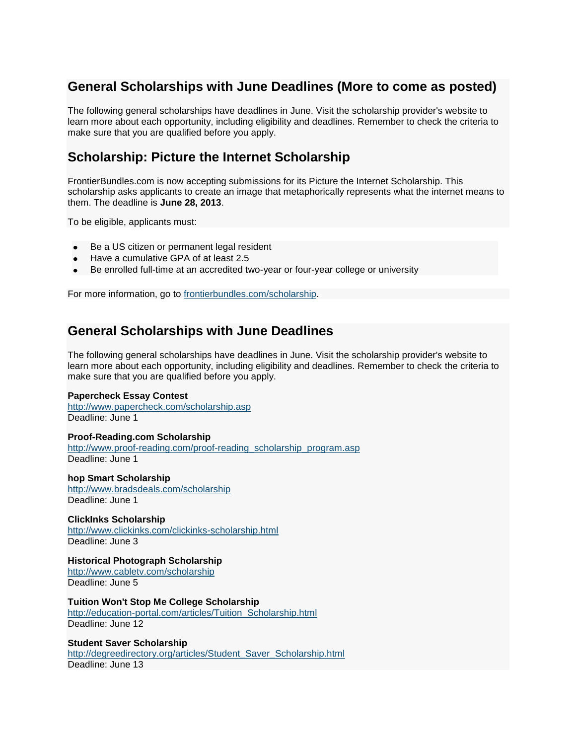# **General Scholarships with June Deadlines (More to come as posted)**

The following general scholarships have deadlines in June. Visit the scholarship provider's website to learn more about each opportunity, including eligibility and deadlines. Remember to check the criteria to make sure that you are qualified before you apply.

# **Scholarship: Picture the Internet Scholarship**

FrontierBundles.com is now accepting submissions for its Picture the Internet Scholarship. This scholarship asks applicants to create an image that metaphorically represents what the internet means to them. The deadline is **June 28, 2013**.

To be eligible, applicants must:

- Be a US citizen or permanent legal resident  $\bullet$
- Have a cumulative GPA of at least 2.5
- Be enrolled full-time at an accredited two-year or four-year college or university

For more information, go to [frontierbundles.com/scholarship.](http://frontierbundles.com/scholarship)

## **General Scholarships with June Deadlines**

The following general scholarships have deadlines in June. Visit the scholarship provider's website to learn more about each opportunity, including eligibility and deadlines. Remember to check the criteria to make sure that you are qualified before you apply.

## **Papercheck Essay Contest**

<http://www.papercheck.com/scholarship.asp> Deadline: June 1

## **Proof-Reading.com Scholarship**

[http://www.proof-reading.com/proof-reading\\_scholarship\\_program.asp](http://www.proof-reading.com/proof-reading_scholarship_program.asp) Deadline: June 1

#### **hop Smart Scholarship** <http://www.bradsdeals.com/scholarship> Deadline: June 1

**ClickInks Scholarship** <http://www.clickinks.com/clickinks-scholarship.html>

Deadline: June 3

## **Historical Photograph Scholarship**

<http://www.cabletv.com/scholarship> Deadline: June 5

**Tuition Won't Stop Me College Scholarship** [http://education-portal.com/articles/Tuition\\_Scholarship.html](http://education-portal.com/articles/Tuition_Scholarship.html)

Deadline: June 12

## **Student Saver Scholarship**

[http://degreedirectory.org/articles/Student\\_Saver\\_Scholarship.html](http://degreedirectory.org/articles/Student_Saver_Scholarship.html) Deadline: June 13